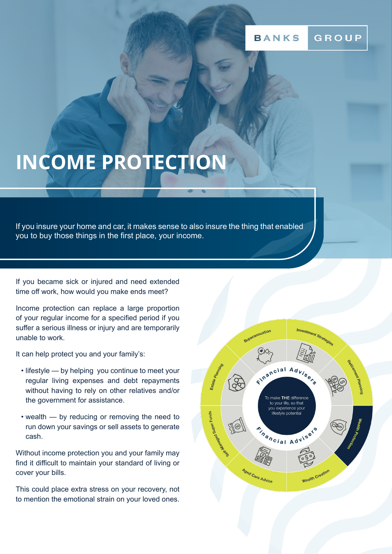# **INCOME PROTECTION**

If you insure your home and car, it makes sense to also insure the thing that enabled you to buy those things in the first place, your income.

If you became sick or injured and need extended time off work, how would you make ends meet?

Income protection can replace a large proportion of your regular income for a specified period if you suffer a serious illness or injury and are temporarily unable to work.

It can help protect you and your family's:

- lifestyle by helping you continue to meet your regular living expenses and debt repayments without having to rely on other relatives and/or the government for assistance.
- wealth by reducing or removing the need to run down your savings or sell assets to generate cash.

Without income protection you and your family may find it difficult to maintain your standard of living or cover your bills.

This could place extra stress on your recovery, not to mention the emotional strain on your loved ones.

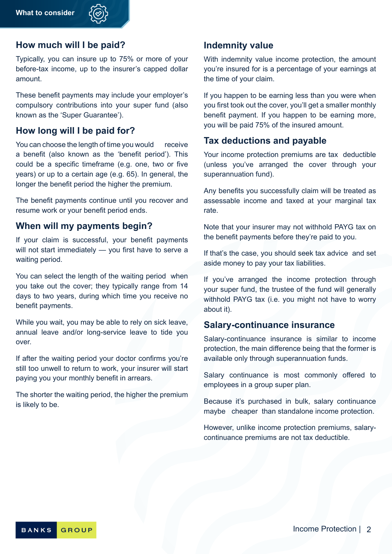

# **How much will I be paid?**

Typically, you can insure up to 75% or more of your before-tax income, up to the insurer's capped dollar amount.

These benefit payments may include your employer's compulsory contributions into your super fund (also known as the 'Super Guarantee').

#### **How long will I be paid for?**

You can choose the length of time you would receive a benefit (also known as the 'benefit period'). This could be a specific timeframe (e.g. one, two or five years) or up to a certain age (e.g. 65). In general, the longer the benefit period the higher the premium.

The benefit payments continue until you recover and resume work or your benefit period ends.

#### **When will my payments begin?**

If your claim is successful, your benefit payments will not start immediately — you first have to serve a waiting period.

You can select the length of the waiting period when you take out the cover; they typically range from 14 days to two years, during which time you receive no benefit payments.

While you wait, you may be able to rely on sick leave. annual leave and/or long-service leave to tide you over.

If after the waiting period your doctor confirms you're still too unwell to return to work, your insurer will start paying you your monthly benefit in arrears.

The shorter the waiting period, the higher the premium is likely to be.

#### **Indemnity value**

With indemnity value income protection, the amount you're insured for is a percentage of your earnings at the time of your claim.

If you happen to be earning less than you were when you first took out the cover, you'll get a smaller monthly benefit payment. If you happen to be earning more, you will be paid 75% of the insured amount.

# **Tax deductions and payable**

Your income protection premiums are tax deductible (unless you've arranged the cover through your superannuation fund).

Any benefits you successfully claim will be treated as assessable income and taxed at your marginal tax rate.

Note that your insurer may not withhold PAYG tax on the benefit payments before they're paid to you.

If that's the case, you should seek tax advice and set aside money to pay your tax liabilities.

If you've arranged the income protection through your super fund, the trustee of the fund will generally withhold PAYG tax (i.e. you might not have to worry about it).

#### **Salary-continuance insurance**

Salary-continuance insurance is similar to income protection, the main difference being that the former is available only through superannuation funds.

Salary continuance is most commonly offered to employees in a group super plan.

Because it's purchased in bulk, salary continuance maybe cheaper than standalone income protection.

However, unlike income protection premiums, salarycontinuance premiums are not tax deductible.